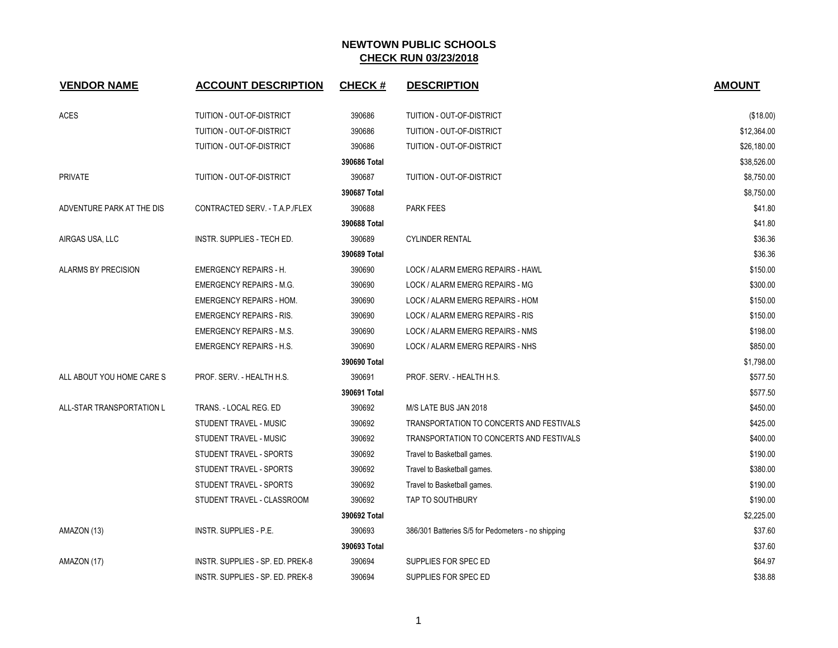| <b>VENDOR NAME</b>         | <b>ACCOUNT DESCRIPTION</b>       | <b>CHECK#</b> | <b>DESCRIPTION</b>                                 | <b>AMOUNT</b> |
|----------------------------|----------------------------------|---------------|----------------------------------------------------|---------------|
| ACES                       | TUITION - OUT-OF-DISTRICT        | 390686        | TUITION - OUT-OF-DISTRICT                          | (\$18.00)     |
|                            | TUITION - OUT-OF-DISTRICT        | 390686        | TUITION - OUT-OF-DISTRICT                          | \$12,364.00   |
|                            | TUITION - OUT-OF-DISTRICT        | 390686        | TUITION - OUT-OF-DISTRICT                          | \$26,180.00   |
|                            |                                  | 390686 Total  |                                                    | \$38,526.00   |
| <b>PRIVATE</b>             | TUITION - OUT-OF-DISTRICT        | 390687        | TUITION - OUT-OF-DISTRICT                          | \$8,750.00    |
|                            |                                  | 390687 Total  |                                                    | \$8,750.00    |
| ADVENTURE PARK AT THE DIS  | CONTRACTED SERV. - T.A.P./FLEX   | 390688        | <b>PARK FEES</b>                                   | \$41.80       |
|                            |                                  | 390688 Total  |                                                    | \$41.80       |
| AIRGAS USA, LLC            | INSTR. SUPPLIES - TECH ED.       | 390689        | <b>CYLINDER RENTAL</b>                             | \$36.36       |
|                            |                                  | 390689 Total  |                                                    | \$36.36       |
| <b>ALARMS BY PRECISION</b> | <b>EMERGENCY REPAIRS - H.</b>    | 390690        | LOCK / ALARM EMERG REPAIRS - HAWL                  | \$150.00      |
|                            | <b>EMERGENCY REPAIRS - M.G.</b>  | 390690        | LOCK / ALARM EMERG REPAIRS - MG                    | \$300.00      |
|                            | <b>EMERGENCY REPAIRS - HOM.</b>  | 390690        | LOCK / ALARM EMERG REPAIRS - HOM                   | \$150.00      |
|                            | <b>EMERGENCY REPAIRS - RIS.</b>  | 390690        | LOCK / ALARM EMERG REPAIRS - RIS                   | \$150.00      |
|                            | <b>EMERGENCY REPAIRS - M.S.</b>  | 390690        | LOCK / ALARM EMERG REPAIRS - NMS                   | \$198.00      |
|                            | <b>EMERGENCY REPAIRS - H.S.</b>  | 390690        | LOCK / ALARM EMERG REPAIRS - NHS                   | \$850.00      |
|                            |                                  | 390690 Total  |                                                    | \$1,798.00    |
| ALL ABOUT YOU HOME CARE S  | PROF. SERV. - HEALTH H.S.        | 390691        | PROF. SERV. - HEALTH H.S.                          | \$577.50      |
|                            |                                  | 390691 Total  |                                                    | \$577.50      |
| ALL-STAR TRANSPORTATION L  | TRANS. - LOCAL REG. ED           | 390692        | M/S LATE BUS JAN 2018                              | \$450.00      |
|                            | STUDENT TRAVEL - MUSIC           | 390692        | TRANSPORTATION TO CONCERTS AND FESTIVALS           | \$425.00      |
|                            | STUDENT TRAVEL - MUSIC           | 390692        | TRANSPORTATION TO CONCERTS AND FESTIVALS           | \$400.00      |
|                            | STUDENT TRAVEL - SPORTS          | 390692        | Travel to Basketball games.                        | \$190.00      |
|                            | STUDENT TRAVEL - SPORTS          | 390692        | Travel to Basketball games.                        | \$380.00      |
|                            | STUDENT TRAVEL - SPORTS          | 390692        | Travel to Basketball games.                        | \$190.00      |
|                            | STUDENT TRAVEL - CLASSROOM       | 390692        | <b>TAP TO SOUTHBURY</b>                            | \$190.00      |
|                            |                                  | 390692 Total  |                                                    | \$2,225.00    |
| AMAZON (13)                | <b>INSTR. SUPPLIES - P.E.</b>    | 390693        | 386/301 Batteries S/5 for Pedometers - no shipping | \$37.60       |
|                            |                                  | 390693 Total  |                                                    | \$37.60       |
| AMAZON (17)                | INSTR. SUPPLIES - SP. ED. PREK-8 | 390694        | SUPPLIES FOR SPEC ED                               | \$64.97       |
|                            | INSTR. SUPPLIES - SP. ED. PREK-8 | 390694        | SUPPLIES FOR SPEC ED                               | \$38.88       |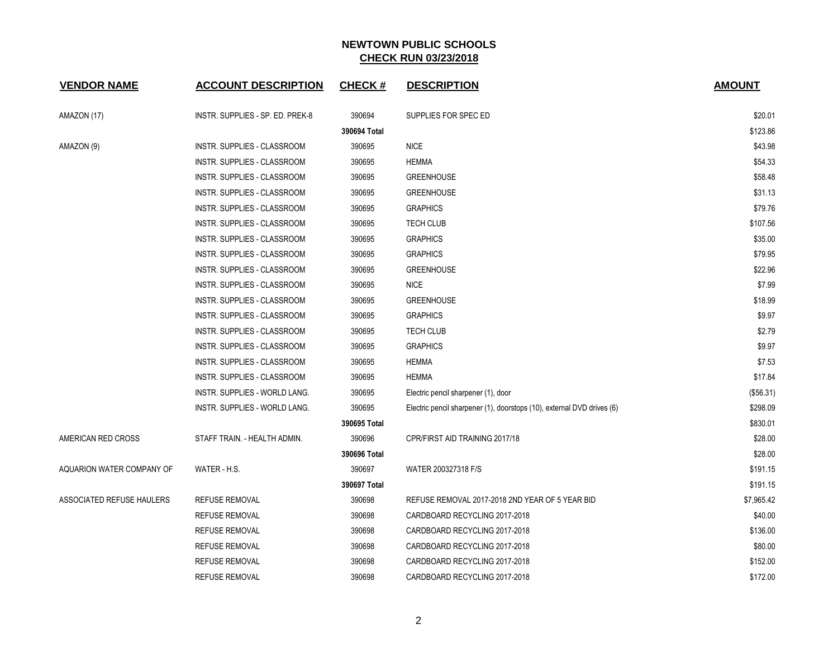| <b>VENDOR NAME</b>        | <b>ACCOUNT DESCRIPTION</b>           | <b>CHECK#</b> | <b>DESCRIPTION</b>                                                     | <b>AMOUNT</b> |
|---------------------------|--------------------------------------|---------------|------------------------------------------------------------------------|---------------|
| AMAZON (17)               | INSTR. SUPPLIES - SP. ED. PREK-8     | 390694        | SUPPLIES FOR SPEC ED                                                   | \$20.01       |
|                           |                                      | 390694 Total  |                                                                        | \$123.86      |
| AMAZON (9)                | INSTR. SUPPLIES - CLASSROOM          | 390695        | <b>NICE</b>                                                            | \$43.98       |
|                           | INSTR. SUPPLIES - CLASSROOM          | 390695        | <b>HEMMA</b>                                                           | \$54.33       |
|                           | <b>INSTR. SUPPLIES - CLASSROOM</b>   | 390695        | <b>GREENHOUSE</b>                                                      | \$58.48       |
|                           | INSTR. SUPPLIES - CLASSROOM          | 390695        | <b>GREENHOUSE</b>                                                      | \$31.13       |
|                           | INSTR. SUPPLIES - CLASSROOM          | 390695        | <b>GRAPHICS</b>                                                        | \$79.76       |
|                           | <b>INSTR. SUPPLIES - CLASSROOM</b>   | 390695        | <b>TECH CLUB</b>                                                       | \$107.56      |
|                           | <b>INSTR. SUPPLIES - CLASSROOM</b>   | 390695        | <b>GRAPHICS</b>                                                        | \$35.00       |
|                           | INSTR. SUPPLIES - CLASSROOM          | 390695        | <b>GRAPHICS</b>                                                        | \$79.95       |
|                           | INSTR. SUPPLIES - CLASSROOM          | 390695        | <b>GREENHOUSE</b>                                                      | \$22.96       |
|                           | INSTR. SUPPLIES - CLASSROOM          | 390695        | <b>NICE</b>                                                            | \$7.99        |
|                           | INSTR. SUPPLIES - CLASSROOM          | 390695        | <b>GREENHOUSE</b>                                                      | \$18.99       |
|                           | INSTR. SUPPLIES - CLASSROOM          | 390695        | <b>GRAPHICS</b>                                                        | \$9.97        |
|                           | INSTR. SUPPLIES - CLASSROOM          | 390695        | TECH CLUB                                                              | \$2.79        |
|                           | <b>INSTR. SUPPLIES - CLASSROOM</b>   | 390695        | <b>GRAPHICS</b>                                                        | \$9.97        |
|                           | <b>INSTR. SUPPLIES - CLASSROOM</b>   | 390695        | <b>HEMMA</b>                                                           | \$7.53        |
|                           | <b>INSTR. SUPPLIES - CLASSROOM</b>   | 390695        | <b>HEMMA</b>                                                           | \$17.84       |
|                           | <b>INSTR. SUPPLIES - WORLD LANG.</b> | 390695        | Electric pencil sharpener (1), door                                    | (\$56.31)     |
|                           | INSTR. SUPPLIES - WORLD LANG.        | 390695        | Electric pencil sharpener (1), doorstops (10), external DVD drives (6) | \$298.09      |
|                           |                                      | 390695 Total  |                                                                        | \$830.01      |
| AMERICAN RED CROSS        | STAFF TRAIN. - HEALTH ADMIN.         | 390696        | CPR/FIRST AID TRAINING 2017/18                                         | \$28.00       |
|                           |                                      | 390696 Total  |                                                                        | \$28.00       |
| AQUARION WATER COMPANY OF | WATER - H.S.                         | 390697        | WATER 200327318 F/S                                                    | \$191.15      |
|                           |                                      | 390697 Total  |                                                                        | \$191.15      |
| ASSOCIATED REFUSE HAULERS | <b>REFUSE REMOVAL</b>                | 390698        | REFUSE REMOVAL 2017-2018 2ND YEAR OF 5 YEAR BID                        | \$7,965.42    |
|                           | <b>REFUSE REMOVAL</b>                | 390698        | CARDBOARD RECYCLING 2017-2018                                          | \$40.00       |
|                           | <b>REFUSE REMOVAL</b>                | 390698        | CARDBOARD RECYCLING 2017-2018                                          | \$136.00      |
|                           | <b>REFUSE REMOVAL</b>                | 390698        | CARDBOARD RECYCLING 2017-2018                                          | \$80.00       |
|                           | <b>REFUSE REMOVAL</b>                | 390698        | CARDBOARD RECYCLING 2017-2018                                          | \$152.00      |
|                           | <b>REFUSE REMOVAL</b>                | 390698        | CARDBOARD RECYCLING 2017-2018                                          | \$172.00      |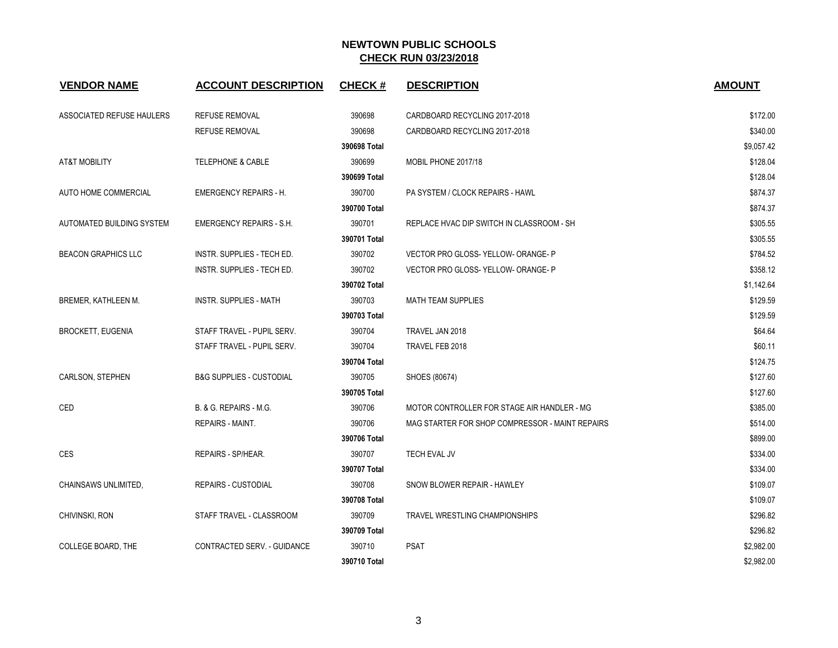| <b>VENDOR NAME</b>         | <b>ACCOUNT DESCRIPTION</b>          | <b>CHECK#</b> | <b>DESCRIPTION</b>                              | <b>AMOUNT</b> |
|----------------------------|-------------------------------------|---------------|-------------------------------------------------|---------------|
| ASSOCIATED REFUSE HAULERS  | <b>REFUSE REMOVAL</b>               | 390698        | CARDBOARD RECYCLING 2017-2018                   | \$172.00      |
|                            | <b>REFUSE REMOVAL</b>               | 390698        | CARDBOARD RECYCLING 2017-2018                   | \$340.00      |
|                            |                                     | 390698 Total  |                                                 | \$9,057.42    |
| AT&T MOBILITY              | <b>TELEPHONE &amp; CABLE</b>        | 390699        | MOBIL PHONE 2017/18                             | \$128.04      |
|                            |                                     | 390699 Total  |                                                 | \$128.04      |
| AUTO HOME COMMERCIAL       | <b>EMERGENCY REPAIRS - H.</b>       | 390700        | PA SYSTEM / CLOCK REPAIRS - HAWL                | \$874.37      |
|                            |                                     | 390700 Total  |                                                 | \$874.37      |
| AUTOMATED BUILDING SYSTEM  | <b>EMERGENCY REPAIRS - S.H.</b>     | 390701        | REPLACE HVAC DIP SWITCH IN CLASSROOM - SH       | \$305.55      |
|                            |                                     | 390701 Total  |                                                 | \$305.55      |
| <b>BEACON GRAPHICS LLC</b> | INSTR. SUPPLIES - TECH ED.          | 390702        | VECTOR PRO GLOSS-YELLOW-ORANGE-P                | \$784.52      |
|                            | INSTR. SUPPLIES - TECH ED.          | 390702        | VECTOR PRO GLOSS-YELLOW-ORANGE-P                | \$358.12      |
|                            |                                     | 390702 Total  |                                                 | \$1,142.64    |
| BREMER, KATHLEEN M.        | INSTR. SUPPLIES - MATH              | 390703        | <b>MATH TEAM SUPPLIES</b>                       | \$129.59      |
|                            |                                     | 390703 Total  |                                                 | \$129.59      |
| <b>BROCKETT, EUGENIA</b>   | STAFF TRAVEL - PUPIL SERV.          | 390704        | TRAVEL JAN 2018                                 | \$64.64       |
|                            | STAFF TRAVEL - PUPIL SERV.          | 390704        | TRAVEL FEB 2018                                 | \$60.11       |
|                            |                                     | 390704 Total  |                                                 | \$124.75      |
| CARLSON, STEPHEN           | <b>B&amp;G SUPPLIES - CUSTODIAL</b> | 390705        | SHOES (80674)                                   | \$127.60      |
|                            |                                     | 390705 Total  |                                                 | \$127.60      |
| CED                        | B. & G. REPAIRS - M.G.              | 390706        | MOTOR CONTROLLER FOR STAGE AIR HANDLER - MG     | \$385.00      |
|                            | REPAIRS - MAINT.                    | 390706        | MAG STARTER FOR SHOP COMPRESSOR - MAINT REPAIRS | \$514.00      |
|                            |                                     | 390706 Total  |                                                 | \$899.00      |
| <b>CES</b>                 | REPAIRS - SP/HEAR.                  | 390707        | <b>TECH EVAL JV</b>                             | \$334.00      |
|                            |                                     | 390707 Total  |                                                 | \$334.00      |
| CHAINSAWS UNLIMITED.       | <b>REPAIRS - CUSTODIAL</b>          | 390708        | SNOW BLOWER REPAIR - HAWLEY                     | \$109.07      |
|                            |                                     | 390708 Total  |                                                 | \$109.07      |
| CHIVINSKI, RON             | STAFF TRAVEL - CLASSROOM            | 390709        | TRAVEL WRESTLING CHAMPIONSHIPS                  | \$296.82      |
|                            |                                     | 390709 Total  |                                                 | \$296.82      |
| <b>COLLEGE BOARD. THE</b>  | CONTRACTED SERV. - GUIDANCE         | 390710        | <b>PSAT</b>                                     | \$2,982.00    |
|                            |                                     | 390710 Total  |                                                 | \$2,982.00    |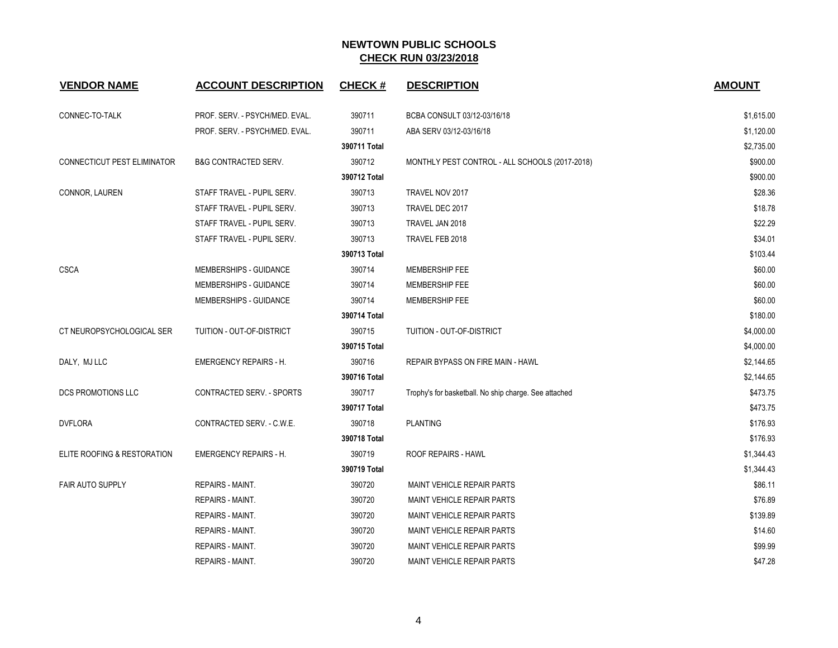| <b>VENDOR NAME</b>          | <b>ACCOUNT DESCRIPTION</b>      | <b>CHECK#</b> | <b>DESCRIPTION</b>                                    | <b>AMOUNT</b> |
|-----------------------------|---------------------------------|---------------|-------------------------------------------------------|---------------|
| CONNEC-TO-TALK              | PROF. SERV. - PSYCH/MED. EVAL.  | 390711        | BCBA CONSULT 03/12-03/16/18                           | \$1,615.00    |
|                             | PROF. SERV. - PSYCH/MED. EVAL.  | 390711        | ABA SERV 03/12-03/16/18                               | \$1,120.00    |
|                             |                                 | 390711 Total  |                                                       | \$2,735.00    |
| CONNECTICUT PEST ELIMINATOR | <b>B&amp;G CONTRACTED SERV.</b> | 390712        | MONTHLY PEST CONTROL - ALL SCHOOLS (2017-2018)        | \$900.00      |
|                             |                                 | 390712 Total  |                                                       | \$900.00      |
| CONNOR, LAUREN              | STAFF TRAVEL - PUPIL SERV.      | 390713        | TRAVEL NOV 2017                                       | \$28.36       |
|                             | STAFF TRAVEL - PUPIL SERV.      | 390713        | TRAVEL DEC 2017                                       | \$18.78       |
|                             | STAFF TRAVEL - PUPIL SERV.      | 390713        | TRAVEL JAN 2018                                       | \$22.29       |
|                             | STAFF TRAVEL - PUPIL SERV.      | 390713        | TRAVEL FEB 2018                                       | \$34.01       |
|                             |                                 | 390713 Total  |                                                       | \$103.44      |
| <b>CSCA</b>                 | MEMBERSHIPS - GUIDANCE          | 390714        | MEMBERSHIP FEE                                        | \$60.00       |
|                             | MEMBERSHIPS - GUIDANCE          | 390714        | MEMBERSHIP FEE                                        | \$60.00       |
|                             | MEMBERSHIPS - GUIDANCE          | 390714        | <b>MEMBERSHIP FEE</b>                                 | \$60.00       |
|                             |                                 | 390714 Total  |                                                       | \$180.00      |
| CT NEUROPSYCHOLOGICAL SER   | TUITION - OUT-OF-DISTRICT       | 390715        | TUITION - OUT-OF-DISTRICT                             | \$4,000.00    |
|                             |                                 | 390715 Total  |                                                       | \$4,000.00    |
| DALY, MJ LLC                | <b>EMERGENCY REPAIRS - H.</b>   | 390716        | <b>REPAIR BYPASS ON FIRE MAIN - HAWL</b>              | \$2,144.65    |
|                             |                                 | 390716 Total  |                                                       | \$2,144.65    |
| DCS PROMOTIONS LLC          | CONTRACTED SERV. - SPORTS       | 390717        | Trophy's for basketball. No ship charge. See attached | \$473.75      |
|                             |                                 | 390717 Total  |                                                       | \$473.75      |
| <b>DVFLORA</b>              | CONTRACTED SERV. - C.W.E.       | 390718        | <b>PLANTING</b>                                       | \$176.93      |
|                             |                                 | 390718 Total  |                                                       | \$176.93      |
| ELITE ROOFING & RESTORATION | <b>EMERGENCY REPAIRS - H.</b>   | 390719        | <b>ROOF REPAIRS - HAWL</b>                            | \$1,344.43    |
|                             |                                 | 390719 Total  |                                                       | \$1,344.43    |
| <b>FAIR AUTO SUPPLY</b>     | REPAIRS - MAINT.                | 390720        | MAINT VEHICLE REPAIR PARTS                            | \$86.11       |
|                             | REPAIRS - MAINT.                | 390720        | MAINT VEHICLE REPAIR PARTS                            | \$76.89       |
|                             | REPAIRS - MAINT.                | 390720        | <b>MAINT VEHICLE REPAIR PARTS</b>                     | \$139.89      |
|                             | REPAIRS - MAINT.                | 390720        | <b>MAINT VEHICLE REPAIR PARTS</b>                     | \$14.60       |
|                             | <b>REPAIRS - MAINT.</b>         | 390720        | MAINT VEHICLE REPAIR PARTS                            | \$99.99       |
|                             | <b>REPAIRS - MAINT.</b>         | 390720        | <b>MAINT VEHICLE REPAIR PARTS</b>                     | \$47.28       |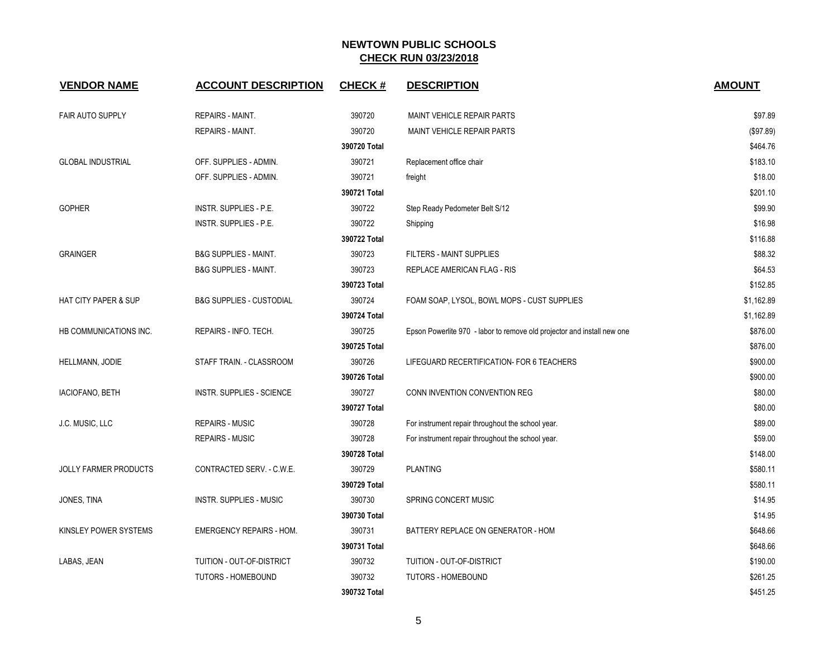| <b>VENDOR NAME</b>              | <b>ACCOUNT DESCRIPTION</b>          | <b>CHECK#</b> | <b>DESCRIPTION</b>                                                      | <b>AMOUNT</b> |
|---------------------------------|-------------------------------------|---------------|-------------------------------------------------------------------------|---------------|
|                                 |                                     |               |                                                                         |               |
| <b>FAIR AUTO SUPPLY</b>         | <b>REPAIRS - MAINT.</b>             | 390720        | MAINT VEHICLE REPAIR PARTS                                              | \$97.89       |
|                                 | <b>REPAIRS - MAINT.</b>             | 390720        | MAINT VEHICLE REPAIR PARTS                                              | (\$97.89)     |
|                                 |                                     | 390720 Total  |                                                                         | \$464.76      |
| <b>GLOBAL INDUSTRIAL</b>        | OFF. SUPPLIES - ADMIN.              | 390721        | Replacement office chair                                                | \$183.10      |
|                                 | OFF. SUPPLIES - ADMIN.              | 390721        | freight                                                                 | \$18.00       |
|                                 |                                     | 390721 Total  |                                                                         | \$201.10      |
| <b>GOPHER</b>                   | INSTR. SUPPLIES - P.E.              | 390722        | Step Ready Pedometer Belt S/12                                          | \$99.90       |
|                                 | INSTR. SUPPLIES - P.E.              | 390722        | Shipping                                                                | \$16.98       |
|                                 |                                     | 390722 Total  |                                                                         | \$116.88      |
| <b>GRAINGER</b>                 | <b>B&amp;G SUPPLIES - MAINT.</b>    | 390723        | FILTERS - MAINT SUPPLIES                                                | \$88.32       |
|                                 | <b>B&amp;G SUPPLIES - MAINT.</b>    | 390723        | REPLACE AMERICAN FLAG - RIS                                             | \$64.53       |
|                                 |                                     | 390723 Total  |                                                                         | \$152.85      |
| <b>HAT CITY PAPER &amp; SUP</b> | <b>B&amp;G SUPPLIES - CUSTODIAL</b> | 390724        | FOAM SOAP, LYSOL, BOWL MOPS - CUST SUPPLIES                             | \$1,162.89    |
|                                 |                                     | 390724 Total  |                                                                         | \$1,162.89    |
| HB COMMUNICATIONS INC.          | REPAIRS - INFO. TECH.               | 390725        | Epson Powerlite 970 - labor to remove old projector and install new one | \$876.00      |
|                                 |                                     | 390725 Total  |                                                                         | \$876.00      |
| HELLMANN, JODIE                 | STAFF TRAIN. - CLASSROOM            | 390726        | LIFEGUARD RECERTIFICATION- FOR 6 TEACHERS                               | \$900.00      |
|                                 |                                     | 390726 Total  |                                                                         | \$900.00      |
| IACIOFANO, BETH                 | <b>INSTR. SUPPLIES - SCIENCE</b>    | 390727        | CONN INVENTION CONVENTION REG                                           | \$80.00       |
|                                 |                                     | 390727 Total  |                                                                         | \$80.00       |
| J.C. MUSIC, LLC                 | <b>REPAIRS - MUSIC</b>              | 390728        | For instrument repair throughout the school year.                       | \$89.00       |
|                                 | <b>REPAIRS - MUSIC</b>              | 390728        | For instrument repair throughout the school year.                       | \$59.00       |
|                                 |                                     | 390728 Total  |                                                                         | \$148.00      |
| <b>JOLLY FARMER PRODUCTS</b>    | CONTRACTED SERV. - C.W.E.           | 390729        | <b>PLANTING</b>                                                         | \$580.11      |
|                                 |                                     | 390729 Total  |                                                                         | \$580.11      |
| JONES, TINA                     | <b>INSTR. SUPPLIES - MUSIC</b>      | 390730        | SPRING CONCERT MUSIC                                                    | \$14.95       |
|                                 |                                     | 390730 Total  |                                                                         | \$14.95       |
| KINSLEY POWER SYSTEMS           | <b>EMERGENCY REPAIRS - HOM.</b>     | 390731        | BATTERY REPLACE ON GENERATOR - HOM                                      | \$648.66      |
|                                 |                                     | 390731 Total  |                                                                         | \$648.66      |
| LABAS, JEAN                     | TUITION - OUT-OF-DISTRICT           | 390732        | TUITION - OUT-OF-DISTRICT                                               | \$190.00      |
|                                 | <b>TUTORS - HOMEBOUND</b>           | 390732        | <b>TUTORS - HOMEBOUND</b>                                               | \$261.25      |
|                                 |                                     | 390732 Total  |                                                                         | \$451.25      |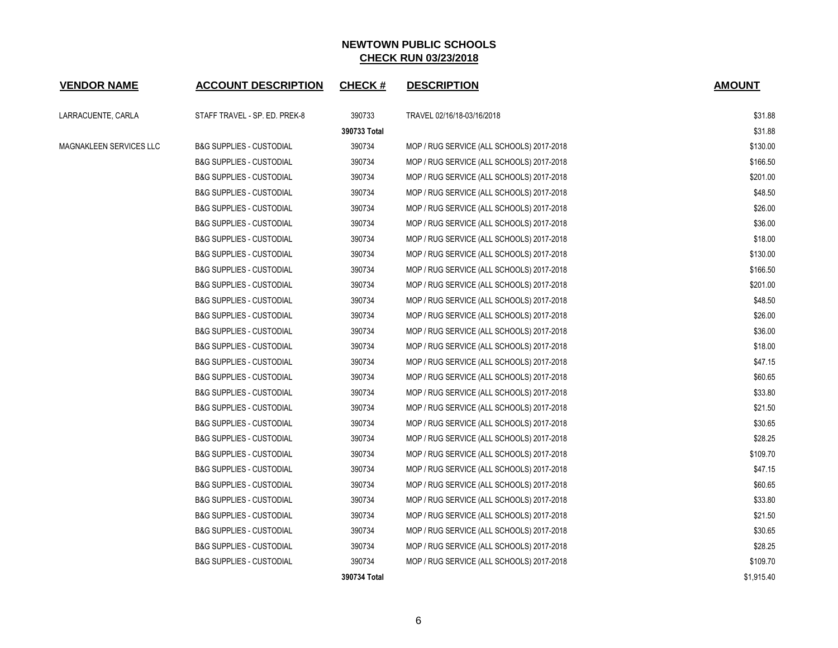| <b>VENDOR NAME</b>      | <b>ACCOUNT DESCRIPTION</b>          | <b>CHECK#</b> | <b>DESCRIPTION</b>                        | <b>AMOUNT</b> |
|-------------------------|-------------------------------------|---------------|-------------------------------------------|---------------|
| LARRACUENTE, CARLA      | STAFF TRAVEL - SP. ED. PREK-8       | 390733        | TRAVEL 02/16/18-03/16/2018                | \$31.88       |
|                         |                                     | 390733 Total  |                                           | \$31.88       |
| MAGNAKLEEN SERVICES LLC | <b>B&amp;G SUPPLIES - CUSTODIAL</b> | 390734        | MOP / RUG SERVICE (ALL SCHOOLS) 2017-2018 | \$130.00      |
|                         | <b>B&amp;G SUPPLIES - CUSTODIAL</b> | 390734        | MOP / RUG SERVICE (ALL SCHOOLS) 2017-2018 | \$166.50      |
|                         | <b>B&amp;G SUPPLIES - CUSTODIAL</b> | 390734        | MOP / RUG SERVICE (ALL SCHOOLS) 2017-2018 | \$201.00      |
|                         | <b>B&amp;G SUPPLIES - CUSTODIAL</b> | 390734        | MOP / RUG SERVICE (ALL SCHOOLS) 2017-2018 | \$48.50       |
|                         | <b>B&amp;G SUPPLIES - CUSTODIAL</b> | 390734        | MOP / RUG SERVICE (ALL SCHOOLS) 2017-2018 | \$26.00       |
|                         | <b>B&amp;G SUPPLIES - CUSTODIAL</b> | 390734        | MOP / RUG SERVICE (ALL SCHOOLS) 2017-2018 | \$36.00       |
|                         | <b>B&amp;G SUPPLIES - CUSTODIAL</b> | 390734        | MOP / RUG SERVICE (ALL SCHOOLS) 2017-2018 | \$18.00       |
|                         | <b>B&amp;G SUPPLIES - CUSTODIAL</b> | 390734        | MOP / RUG SERVICE (ALL SCHOOLS) 2017-2018 | \$130.00      |
|                         | <b>B&amp;G SUPPLIES - CUSTODIAL</b> | 390734        | MOP / RUG SERVICE (ALL SCHOOLS) 2017-2018 | \$166.50      |
|                         | <b>B&amp;G SUPPLIES - CUSTODIAL</b> | 390734        | MOP / RUG SERVICE (ALL SCHOOLS) 2017-2018 | \$201.00      |
|                         | <b>B&amp;G SUPPLIES - CUSTODIAL</b> | 390734        | MOP / RUG SERVICE (ALL SCHOOLS) 2017-2018 | \$48.50       |
|                         | <b>B&amp;G SUPPLIES - CUSTODIAL</b> | 390734        | MOP / RUG SERVICE (ALL SCHOOLS) 2017-2018 | \$26.00       |
|                         | <b>B&amp;G SUPPLIES - CUSTODIAL</b> | 390734        | MOP / RUG SERVICE (ALL SCHOOLS) 2017-2018 | \$36.00       |
|                         | <b>B&amp;G SUPPLIES - CUSTODIAL</b> | 390734        | MOP / RUG SERVICE (ALL SCHOOLS) 2017-2018 | \$18.00       |
|                         | <b>B&amp;G SUPPLIES - CUSTODIAL</b> | 390734        | MOP / RUG SERVICE (ALL SCHOOLS) 2017-2018 | \$47.15       |
|                         | <b>B&amp;G SUPPLIES - CUSTODIAL</b> | 390734        | MOP / RUG SERVICE (ALL SCHOOLS) 2017-2018 | \$60.65       |
|                         | <b>B&amp;G SUPPLIES - CUSTODIAL</b> | 390734        | MOP / RUG SERVICE (ALL SCHOOLS) 2017-2018 | \$33.80       |
|                         | <b>B&amp;G SUPPLIES - CUSTODIAL</b> | 390734        | MOP / RUG SERVICE (ALL SCHOOLS) 2017-2018 | \$21.50       |
|                         | <b>B&amp;G SUPPLIES - CUSTODIAL</b> | 390734        | MOP / RUG SERVICE (ALL SCHOOLS) 2017-2018 | \$30.65       |
|                         | <b>B&amp;G SUPPLIES - CUSTODIAL</b> | 390734        | MOP / RUG SERVICE (ALL SCHOOLS) 2017-2018 | \$28.25       |
|                         | <b>B&amp;G SUPPLIES - CUSTODIAL</b> | 390734        | MOP / RUG SERVICE (ALL SCHOOLS) 2017-2018 | \$109.70      |
|                         | <b>B&amp;G SUPPLIES - CUSTODIAL</b> | 390734        | MOP / RUG SERVICE (ALL SCHOOLS) 2017-2018 | \$47.15       |
|                         | <b>B&amp;G SUPPLIES - CUSTODIAL</b> | 390734        | MOP / RUG SERVICE (ALL SCHOOLS) 2017-2018 | \$60.65       |
|                         | <b>B&amp;G SUPPLIES - CUSTODIAL</b> | 390734        | MOP / RUG SERVICE (ALL SCHOOLS) 2017-2018 | \$33.80       |
|                         | <b>B&amp;G SUPPLIES - CUSTODIAL</b> | 390734        | MOP / RUG SERVICE (ALL SCHOOLS) 2017-2018 | \$21.50       |
|                         | <b>B&amp;G SUPPLIES - CUSTODIAL</b> | 390734        | MOP / RUG SERVICE (ALL SCHOOLS) 2017-2018 | \$30.65       |
|                         | <b>B&amp;G SUPPLIES - CUSTODIAL</b> | 390734        | MOP / RUG SERVICE (ALL SCHOOLS) 2017-2018 | \$28.25       |
|                         | <b>B&amp;G SUPPLIES - CUSTODIAL</b> | 390734        | MOP / RUG SERVICE (ALL SCHOOLS) 2017-2018 | \$109.70      |
|                         |                                     | 390734 Total  |                                           | \$1,915.40    |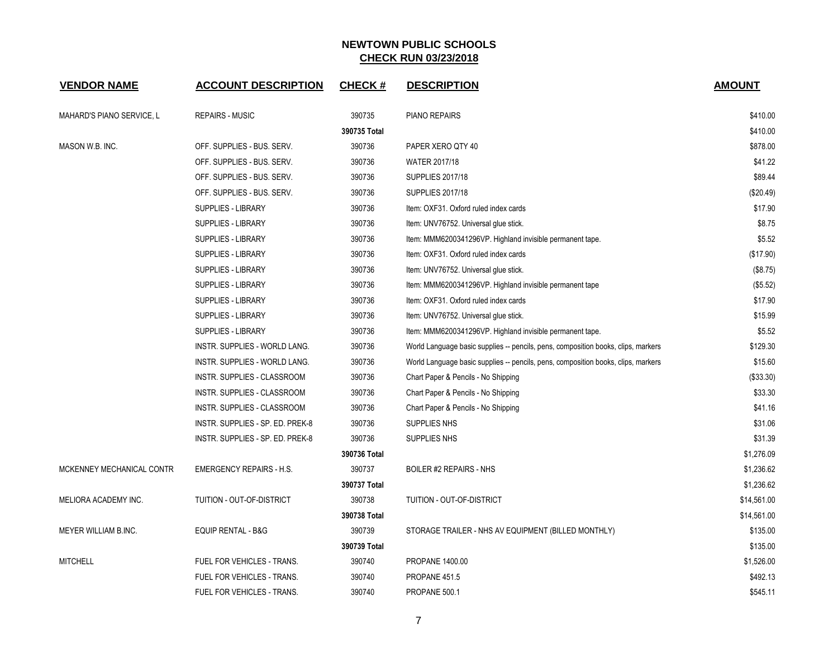| <b>VENDOR NAME</b>        | <b>ACCOUNT DESCRIPTION</b>       | <b>CHECK#</b> | <b>DESCRIPTION</b>                                                                | <b>AMOUNT</b> |
|---------------------------|----------------------------------|---------------|-----------------------------------------------------------------------------------|---------------|
| MAHARD'S PIANO SERVICE, L | <b>REPAIRS - MUSIC</b>           | 390735        | PIANO REPAIRS                                                                     | \$410.00      |
|                           |                                  | 390735 Total  |                                                                                   | \$410.00      |
| MASON W.B. INC.           | OFF. SUPPLIES - BUS. SERV.       | 390736        | PAPER XERO QTY 40                                                                 | \$878.00      |
|                           | OFF. SUPPLIES - BUS. SERV.       | 390736        | <b>WATER 2017/18</b>                                                              | \$41.22       |
|                           | OFF. SUPPLIES - BUS. SERV.       | 390736        | <b>SUPPLIES 2017/18</b>                                                           | \$89.44       |
|                           | OFF. SUPPLIES - BUS. SERV.       | 390736        | <b>SUPPLIES 2017/18</b>                                                           | (\$20.49)     |
|                           | <b>SUPPLIES - LIBRARY</b>        | 390736        | Item: OXF31. Oxford ruled index cards                                             | \$17.90       |
|                           | <b>SUPPLIES - LIBRARY</b>        | 390736        | Item: UNV76752. Universal glue stick.                                             | \$8.75        |
|                           | <b>SUPPLIES - LIBRARY</b>        | 390736        | Item: MMM6200341296VP. Highland invisible permanent tape.                         | \$5.52        |
|                           | SUPPLIES - LIBRARY               | 390736        | Item: OXF31. Oxford ruled index cards                                             | (\$17.90)     |
|                           | SUPPLIES - LIBRARY               | 390736        | Item: UNV76752. Universal glue stick.                                             | (\$8.75)      |
|                           | <b>SUPPLIES - LIBRARY</b>        | 390736        | Item: MMM6200341296VP. Highland invisible permanent tape                          | (\$5.52)      |
|                           | <b>SUPPLIES - LIBRARY</b>        | 390736        | Item: OXF31. Oxford ruled index cards                                             | \$17.90       |
|                           | <b>SUPPLIES - LIBRARY</b>        | 390736        | Item: UNV76752. Universal glue stick.                                             | \$15.99       |
|                           | SUPPLIES - LIBRARY               | 390736        | Item: MMM6200341296VP. Highland invisible permanent tape.                         | \$5.52        |
|                           | INSTR. SUPPLIES - WORLD LANG.    | 390736        | World Language basic supplies -- pencils, pens, composition books, clips, markers | \$129.30      |
|                           | INSTR. SUPPLIES - WORLD LANG.    | 390736        | World Language basic supplies -- pencils, pens, composition books, clips, markers | \$15.60       |
|                           | INSTR. SUPPLIES - CLASSROOM      | 390736        | Chart Paper & Pencils - No Shipping                                               | ( \$33.30)    |
|                           | INSTR. SUPPLIES - CLASSROOM      | 390736        | Chart Paper & Pencils - No Shipping                                               | \$33.30       |
|                           | INSTR. SUPPLIES - CLASSROOM      | 390736        | Chart Paper & Pencils - No Shipping                                               | \$41.16       |
|                           | INSTR. SUPPLIES - SP. ED. PREK-8 | 390736        | <b>SUPPLIES NHS</b>                                                               | \$31.06       |
|                           | INSTR. SUPPLIES - SP. ED. PREK-8 | 390736        | <b>SUPPLIES NHS</b>                                                               | \$31.39       |
|                           |                                  | 390736 Total  |                                                                                   | \$1,276.09    |
| MCKENNEY MECHANICAL CONTR | <b>EMERGENCY REPAIRS - H.S.</b>  | 390737        | BOILER #2 REPAIRS - NHS                                                           | \$1,236.62    |
|                           |                                  | 390737 Total  |                                                                                   | \$1,236.62    |
| MELIORA ACADEMY INC.      | TUITION - OUT-OF-DISTRICT        | 390738        | TUITION - OUT-OF-DISTRICT                                                         | \$14,561.00   |
|                           |                                  | 390738 Total  |                                                                                   | \$14,561.00   |
| MEYER WILLIAM B.INC.      | EQUIP RENTAL - B&G               | 390739        | STORAGE TRAILER - NHS AV EQUIPMENT (BILLED MONTHLY)                               | \$135.00      |
|                           |                                  | 390739 Total  |                                                                                   | \$135.00      |
| <b>MITCHELL</b>           | FUEL FOR VEHICLES - TRANS.       | 390740        | <b>PROPANE 1400.00</b>                                                            | \$1,526.00    |
|                           | FUEL FOR VEHICLES - TRANS.       | 390740        | PROPANE 451.5                                                                     | \$492.13      |
|                           | FUEL FOR VEHICLES - TRANS.       | 390740        | PROPANE 500.1                                                                     | \$545.11      |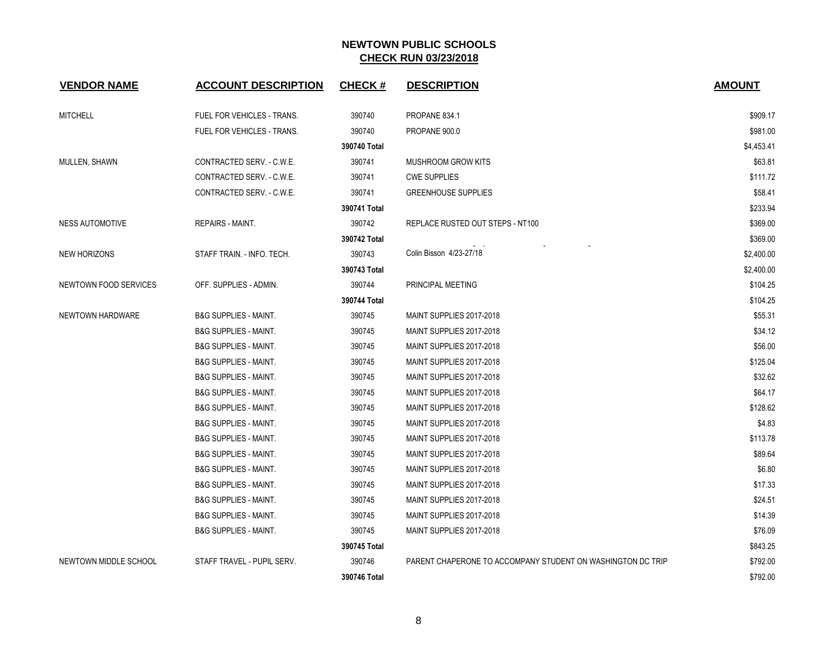| <b>VENDOR NAME</b>     | <b>ACCOUNT DESCRIPTION</b>       | <b>CHECK#</b> | <b>DESCRIPTION</b>                                          | <b>AMOUNT</b> |
|------------------------|----------------------------------|---------------|-------------------------------------------------------------|---------------|
| <b>MITCHELL</b>        | FUEL FOR VEHICLES - TRANS.       | 390740        | PROPANE 834.1                                               | \$909.17      |
|                        | FUEL FOR VEHICLES - TRANS.       | 390740        | PROPANE 900.0                                               | \$981.00      |
|                        |                                  | 390740 Total  |                                                             | \$4,453.41    |
| MULLEN, SHAWN          | CONTRACTED SERV. - C.W.E.        | 390741        | <b>MUSHROOM GROW KITS</b>                                   | \$63.81       |
|                        | CONTRACTED SERV. - C.W.E.        | 390741        | <b>CWE SUPPLIES</b>                                         | \$111.72      |
|                        | CONTRACTED SERV. - C.W.E.        | 390741        | <b>GREENHOUSE SUPPLIES</b>                                  | \$58.41       |
|                        |                                  | 390741 Total  |                                                             | \$233.94      |
| <b>NESS AUTOMOTIVE</b> | REPAIRS - MAINT.                 | 390742        | REPLACE RUSTED OUT STEPS - NT100                            | \$369.00      |
|                        |                                  | 390742 Total  |                                                             | \$369.00      |
| <b>NEW HORIZONS</b>    | STAFF TRAIN. - INFO. TECH.       | 390743        | Colin Bisson 4/23-27/18                                     | \$2,400.00    |
|                        |                                  | 390743 Total  |                                                             | \$2,400.00    |
| NEWTOWN FOOD SERVICES  | OFF. SUPPLIES - ADMIN.           | 390744        | PRINCIPAL MEETING                                           | \$104.25      |
|                        |                                  | 390744 Total  |                                                             | \$104.25      |
| NEWTOWN HARDWARE       | <b>B&amp;G SUPPLIES - MAINT.</b> | 390745        | MAINT SUPPLIES 2017-2018                                    | \$55.31       |
|                        | <b>B&amp;G SUPPLIES - MAINT.</b> | 390745        | MAINT SUPPLIES 2017-2018                                    | \$34.12       |
|                        | <b>B&amp;G SUPPLIES - MAINT.</b> | 390745        | MAINT SUPPLIES 2017-2018                                    | \$56.00       |
|                        | <b>B&amp;G SUPPLIES - MAINT.</b> | 390745        | MAINT SUPPLIES 2017-2018                                    | \$125.04      |
|                        | <b>B&amp;G SUPPLIES - MAINT.</b> | 390745        | MAINT SUPPLIES 2017-2018                                    | \$32.62       |
|                        | <b>B&amp;G SUPPLIES - MAINT.</b> | 390745        | MAINT SUPPLIES 2017-2018                                    | \$64.17       |
|                        | <b>B&amp;G SUPPLIES - MAINT.</b> | 390745        | MAINT SUPPLIES 2017-2018                                    | \$128.62      |
|                        | <b>B&amp;G SUPPLIES - MAINT.</b> | 390745        | MAINT SUPPLIES 2017-2018                                    | \$4.83        |
|                        | <b>B&amp;G SUPPLIES - MAINT.</b> | 390745        | MAINT SUPPLIES 2017-2018                                    | \$113.78      |
|                        | <b>B&amp;G SUPPLIES - MAINT.</b> | 390745        | MAINT SUPPLIES 2017-2018                                    | \$89.64       |
|                        | <b>B&amp;G SUPPLIES - MAINT.</b> | 390745        | MAINT SUPPLIES 2017-2018                                    | \$6.80        |
|                        | <b>B&amp;G SUPPLIES - MAINT.</b> | 390745        | MAINT SUPPLIES 2017-2018                                    | \$17.33       |
|                        | <b>B&amp;G SUPPLIES - MAINT.</b> | 390745        | MAINT SUPPLIES 2017-2018                                    | \$24.51       |
|                        | <b>B&amp;G SUPPLIES - MAINT.</b> | 390745        | MAINT SUPPLIES 2017-2018                                    | \$14.39       |
|                        | <b>B&amp;G SUPPLIES - MAINT.</b> | 390745        | MAINT SUPPLIES 2017-2018                                    | \$76.09       |
|                        |                                  | 390745 Total  |                                                             | \$843.25      |
| NEWTOWN MIDDLE SCHOOL  | STAFF TRAVEL - PUPIL SERV.       | 390746        | PARENT CHAPERONE TO ACCOMPANY STUDENT ON WASHINGTON DC TRIP | \$792.00      |
|                        |                                  | 390746 Total  |                                                             | \$792.00      |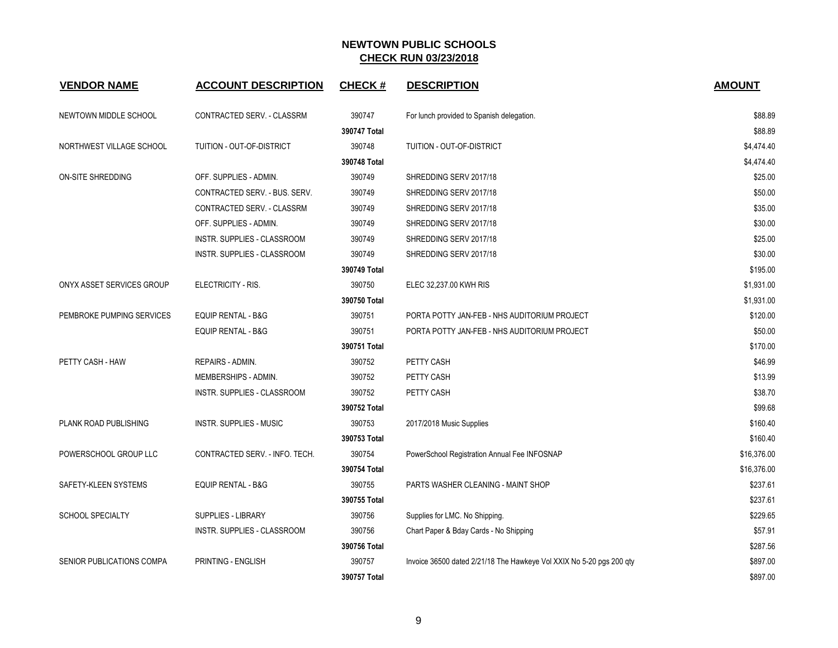| <b>VENDOR NAME</b>        | <b>ACCOUNT DESCRIPTION</b>         | <b>CHECK#</b> | <b>DESCRIPTION</b>                                                   | <b>AMOUNT</b> |
|---------------------------|------------------------------------|---------------|----------------------------------------------------------------------|---------------|
| NEWTOWN MIDDLE SCHOOL     | CONTRACTED SERV. - CLASSRM         | 390747        | For lunch provided to Spanish delegation.                            | \$88.89       |
|                           |                                    | 390747 Total  |                                                                      | \$88.89       |
| NORTHWEST VILLAGE SCHOOL  | TUITION - OUT-OF-DISTRICT          | 390748        | TUITION - OUT-OF-DISTRICT                                            | \$4,474.40    |
|                           |                                    | 390748 Total  |                                                                      | \$4,474.40    |
| ON-SITE SHREDDING         | OFF. SUPPLIES - ADMIN.             | 390749        | SHREDDING SERV 2017/18                                               | \$25.00       |
|                           | CONTRACTED SERV. - BUS. SERV.      | 390749        | SHREDDING SERV 2017/18                                               | \$50.00       |
|                           | CONTRACTED SERV. - CLASSRM         | 390749        | SHREDDING SERV 2017/18                                               | \$35.00       |
|                           | OFF. SUPPLIES - ADMIN.             | 390749        | SHREDDING SERV 2017/18                                               | \$30.00       |
|                           | INSTR. SUPPLIES - CLASSROOM        | 390749        | SHREDDING SERV 2017/18                                               | \$25.00       |
|                           | INSTR. SUPPLIES - CLASSROOM        | 390749        | SHREDDING SERV 2017/18                                               | \$30.00       |
|                           |                                    | 390749 Total  |                                                                      | \$195.00      |
| ONYX ASSET SERVICES GROUP | ELECTRICITY - RIS.                 | 390750        | ELEC 32,237.00 KWH RIS                                               | \$1,931.00    |
|                           |                                    | 390750 Total  |                                                                      | \$1,931.00    |
| PEMBROKE PUMPING SERVICES | <b>EQUIP RENTAL - B&amp;G</b>      | 390751        | PORTA POTTY JAN-FEB - NHS AUDITORIUM PROJECT                         | \$120.00      |
|                           | <b>EQUIP RENTAL - B&amp;G</b>      | 390751        | PORTA POTTY JAN-FEB - NHS AUDITORIUM PROJECT                         | \$50.00       |
|                           |                                    | 390751 Total  |                                                                      | \$170.00      |
| PETTY CASH - HAW          | REPAIRS - ADMIN.                   | 390752        | PETTY CASH                                                           | \$46.99       |
|                           | MEMBERSHIPS - ADMIN.               | 390752        | PETTY CASH                                                           | \$13.99       |
|                           | <b>INSTR. SUPPLIES - CLASSROOM</b> | 390752        | PETTY CASH                                                           | \$38.70       |
|                           |                                    | 390752 Total  |                                                                      | \$99.68       |
| PLANK ROAD PUBLISHING     | <b>INSTR. SUPPLIES - MUSIC</b>     | 390753        | 2017/2018 Music Supplies                                             | \$160.40      |
|                           |                                    | 390753 Total  |                                                                      | \$160.40      |
| POWERSCHOOL GROUP LLC     | CONTRACTED SERV. - INFO. TECH.     | 390754        | PowerSchool Registration Annual Fee INFOSNAP                         | \$16,376.00   |
|                           |                                    | 390754 Total  |                                                                      | \$16,376.00   |
| SAFETY-KLEEN SYSTEMS      | <b>EQUIP RENTAL - B&amp;G</b>      | 390755        | PARTS WASHER CLEANING - MAINT SHOP                                   | \$237.61      |
|                           |                                    | 390755 Total  |                                                                      | \$237.61      |
| <b>SCHOOL SPECIALTY</b>   | <b>SUPPLIES - LIBRARY</b>          | 390756        | Supplies for LMC. No Shipping.                                       | \$229.65      |
|                           | INSTR. SUPPLIES - CLASSROOM        | 390756        | Chart Paper & Bday Cards - No Shipping                               | \$57.91       |
|                           |                                    | 390756 Total  |                                                                      | \$287.56      |
| SENIOR PUBLICATIONS COMPA | PRINTING - ENGLISH                 | 390757        | Invoice 36500 dated 2/21/18 The Hawkeye Vol XXIX No 5-20 pgs 200 qty | \$897.00      |
|                           |                                    | 390757 Total  |                                                                      | \$897.00      |